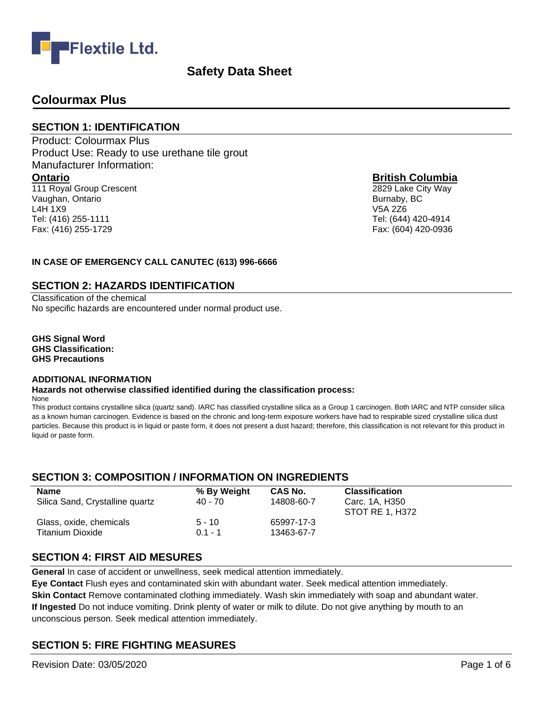

## **Colourmax Plus**

#### **SECTION 1: IDENTIFICATION**

Product: Colourmax Plus Product Use: Ready to use urethane tile grout Manufacturer Information: **Ontario** 111 Royal Group Crescent Vaughan, Ontario L4H 1X9 Tel: (416) 255-1111

#### **British Columbia**

2829 Lake City Way Burnaby, BC V5A 2Z6 Tel: (644) 420-4914 Fax: (604) 420-0936

#### **IN CASE OF EMERGENCY CALL CANUTEC (613) 996-6666**

#### **SECTION 2: HAZARDS IDENTIFICATION**

Classification of the chemical No specific hazards are encountered under normal product use.

**GHS Signal Word GHS Classification: GHS Precautions**

Fax: (416) 255-1729

#### **ADDITIONAL INFORMATION**

## **Hazards not otherwise classified identified during the classification process:**

None

This product contains crystalline silica (quartz sand). IARC has classified crystalline silica as a Group 1 carcinogen. Both IARC and NTP consider silica as a known human carcinogen. Evidence is based on the chronic and long-term exposure workers have had to respirable sized crystalline silica dust particles. Because this product is in liquid or paste form, it does not present a dust hazard; therefore, this classification is not relevant for this product in liquid or paste form.

## **SECTION 3: COMPOSITION / INFORMATION ON INGREDIENTS**

| <b>Name</b><br>Silica Sand, Crystalline quartz | % By Weight<br>40 - 70 | CAS No.<br>14808-60-7 | <b>Classification</b><br>Carc. 1A, H350<br>STOT RE 1, H372 |
|------------------------------------------------|------------------------|-----------------------|------------------------------------------------------------|
| Glass, oxide, chemicals                        | $5 - 10$               | 65997-17-3            |                                                            |
| Titanium Dioxide                               | $01 - 1$               | 13463-67-7            |                                                            |

## **SECTION 4: FIRST AID MESURES**

**General** In case of accident or unwellness, seek medical attention immediately.

**Eye Contact** Flush eyes and contaminated skin with abundant water. Seek medical attention immediately. **Skin Contact** Remove contaminated clothing immediately. Wash skin immediately with soap and abundant water. **If Ingested** Do not induce vomiting. Drink plenty of water or milk to dilute. Do not give anything by mouth to an unconscious person. Seek medical attention immediately.

## **SECTION 5: FIRE FIGHTING MEASURES**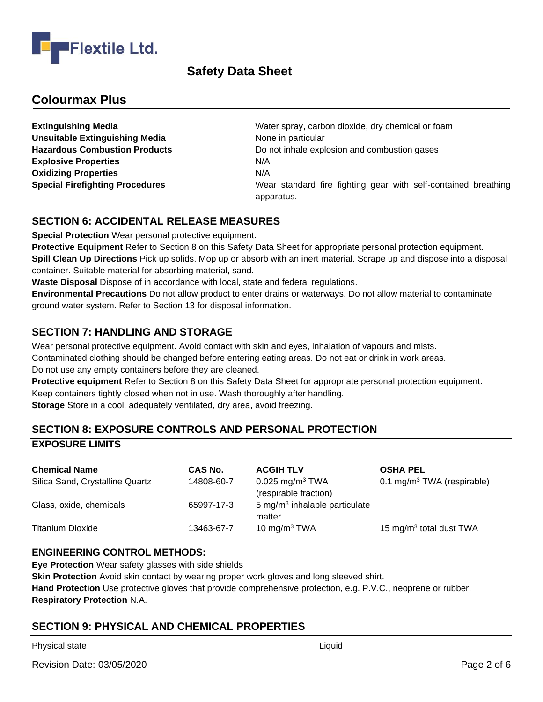

## **Colourmax Plus**

**Unsuitable Extinguishing Media** None in particular **Explosive Properties 1999 12:33 N/A Oxidizing Properties** N/A

**Extinguishing Media** Mater spray, carbon dioxide, dry chemical or foam **Hazardous Combustion Products Do not inhale explosion and combustion gases Special Firefighting Procedures** Wear standard fire fighting gear with self-contained breathing apparatus.

## **SECTION 6: ACCIDENTAL RELEASE MEASURES**

**Special Protection** Wear personal protective equipment.

**Protective Equipment** Refer to Section 8 on this Safety Data Sheet for appropriate personal protection equipment. **Spill Clean Up Directions** Pick up solids. Mop up or absorb with an inert material. Scrape up and dispose into a disposal container. Suitable material for absorbing material, sand.

**Waste Disposal** Dispose of in accordance with local, state and federal regulations.

**Environmental Precautions** Do not allow product to enter drains or waterways. Do not allow material to contaminate ground water system. Refer to Section 13 for disposal information.

## **SECTION 7: HANDLING AND STORAGE**

Wear personal protective equipment. Avoid contact with skin and eyes, inhalation of vapours and mists. Contaminated clothing should be changed before entering eating areas. Do not eat or drink in work areas. Do not use any empty containers before they are cleaned.

**Protective equipment** Refer to Section 8 on this Safety Data Sheet for appropriate personal protection equipment. Keep containers tightly closed when not in use. Wash thoroughly after handling. **Storage** Store in a cool, adequately ventilated, dry area, avoid freezing.

## **SECTION 8: EXPOSURE CONTROLS AND PERSONAL PROTECTION EXPOSURE LIMITS**

| <b>Chemical Name</b>            | CAS No.    | <b>ACGIH TLV</b>                                       | <b>OSHA PEL</b>                        |
|---------------------------------|------------|--------------------------------------------------------|----------------------------------------|
| Silica Sand, Crystalline Quartz | 14808-60-7 | $0.025$ mg/m <sup>3</sup> TWA<br>(respirable fraction) | 0.1 mg/m <sup>3</sup> TWA (respirable) |
| Glass, oxide, chemicals         | 65997-17-3 | $5 \text{ mg/m}^3$ inhalable particulate<br>matter     |                                        |
| <b>Titanium Dioxide</b>         | 13463-67-7 | 10 mg/m $3$ TWA                                        | 15 mg/m <sup>3</sup> total dust TWA    |

#### **ENGINEERING CONTROL METHODS:**

**Eye Protection** Wear safety glasses with side shields

**Skin Protection** Avoid skin contact by wearing proper work gloves and long sleeved shirt. **Hand Protection** Use protective gloves that provide comprehensive protection, e.g. P.V.C., neoprene or rubber. **Respiratory Protection** N.A.

## **SECTION 9: PHYSICAL AND CHEMICAL PROPERTIES**

Physical state Liquid and the Liquid Contract of the Liquid Liquid Liquid Liquid Liquid Liquid Liquid Liquid Liquid Liquid Liquid Liquid Liquid Liquid Liquid Liquid Liquid Liquid Liquid Liquid Liquid Liquid Liquid Liquid L

Revision Date: 03/05/2020 **Page 2 of 6**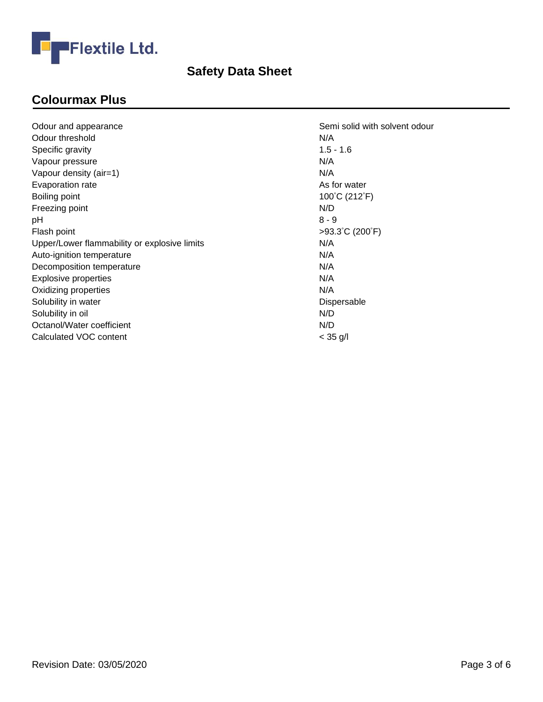

# **Colourmax Plus**

|                                              | N/A             |
|----------------------------------------------|-----------------|
| Odour threshold                              |                 |
| Specific gravity                             | $1.5 - 1.6$     |
| Vapour pressure                              | N/A             |
| Vapour density (air=1)                       | N/A             |
| Evaporation rate                             | As for water    |
| Boiling point                                | 100°C (212°F)   |
| Freezing point                               | N/D             |
| рH                                           | $8 - 9$         |
| Flash point                                  | >93.3°C (200°F) |
| Upper/Lower flammability or explosive limits | N/A             |
| Auto-ignition temperature                    | N/A             |
| Decomposition temperature                    | N/A             |
| Explosive properties                         | N/A             |
| Oxidizing properties                         | N/A             |
| Solubility in water                          | Dispersable     |
| Solubility in oil                            | N/D             |
| Octanol/Water coefficient                    | N/D             |
| Calculated VOC content                       | $< 35$ g/l      |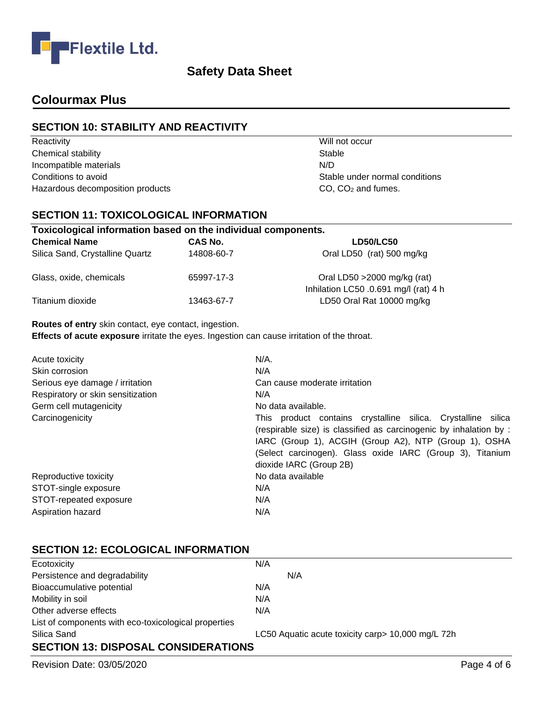

## **Colourmax Plus**

## **SECTION 10: STABILITY AND REACTIVITY**

Reactivity **Network Reactivity** Will not occur Chemical stability Stable Incompatible materials N/D Conditions to avoid Conditions to avoid Conditions in the Stable under normal conditions Conditions Hazardous decomposition products CO, CO<sub>2</sub> and fumes.

## **SECTION 11: TOXICOLOGICAL INFORMATION**

| Toxicological information based on the individual components. |                |                                                                       |  |
|---------------------------------------------------------------|----------------|-----------------------------------------------------------------------|--|
| <b>Chemical Name</b>                                          | <b>CAS No.</b> | <b>LD50/LC50</b>                                                      |  |
| Silica Sand, Crystalline Quartz                               | 14808-60-7     | Oral LD50 (rat) 500 mg/kg                                             |  |
| Glass, oxide, chemicals                                       | 65997-17-3     | Oral LD50 > 2000 mg/kg (rat)<br>Inhilation LC50 .0.691 mg/l (rat) 4 h |  |
| Titanium dioxide                                              | 13463-67-7     | LD50 Oral Rat 10000 mg/kg                                             |  |

#### **Routes of entry** skin contact, eye contact, ingestion.

**Effects of acute exposure** irritate the eyes. Ingestion can cause irritation of the throat.

| Acute toxicity<br>Skin corrosion<br>Serious eye damage / irritation | $N/A$ .<br>N/A<br>Can cause moderate irritation                                                                                                                                                                                                                                     |  |
|---------------------------------------------------------------------|-------------------------------------------------------------------------------------------------------------------------------------------------------------------------------------------------------------------------------------------------------------------------------------|--|
| Respiratory or skin sensitization<br>Germ cell mutagenicity         | N/A<br>No data available.                                                                                                                                                                                                                                                           |  |
| Carcinogenicity                                                     | This product contains crystalline silica. Crystalline silica<br>(respirable size) is classified as carcinogenic by inhalation by :<br>IARC (Group 1), ACGIH (Group A2), NTP (Group 1), OSHA<br>(Select carcinogen). Glass oxide IARC (Group 3), Titanium<br>dioxide IARC (Group 2B) |  |
| Reproductive toxicity                                               | No data available                                                                                                                                                                                                                                                                   |  |
| STOT-single exposure                                                | N/A                                                                                                                                                                                                                                                                                 |  |
| STOT-repeated exposure                                              | N/A                                                                                                                                                                                                                                                                                 |  |
| Aspiration hazard                                                   | N/A                                                                                                                                                                                                                                                                                 |  |

## **SECTION 12: ECOLOGICAL INFORMATION**

| Ecotoxicity                                          | N/A                                               |  |
|------------------------------------------------------|---------------------------------------------------|--|
| Persistence and degradability                        | N/A                                               |  |
| Bioaccumulative potential                            | N/A                                               |  |
| Mobility in soil                                     | N/A                                               |  |
| Other adverse effects                                | N/A                                               |  |
| List of components with eco-toxicological properties |                                                   |  |
| Silica Sand                                          | LC50 Aquatic acute toxicity carp> 10,000 mg/L 72h |  |
| <b>SECTION 13: DISPOSAL CONSIDERATIONS</b>           |                                                   |  |

Revision Date: 03/05/2020 **Page 4 of 6**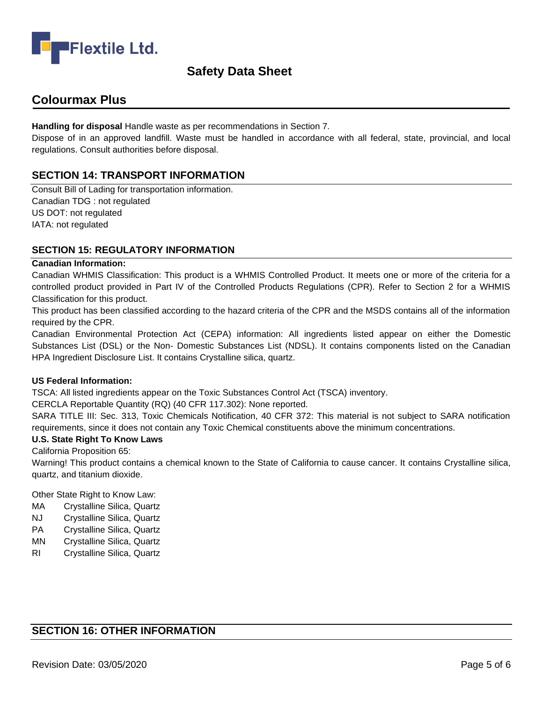

## **Colourmax Plus**

**Handling for disposal** Handle waste as per recommendations in Section 7.

Dispose of in an approved landfill. Waste must be handled in accordance with all federal, state, provincial, and local regulations. Consult authorities before disposal.

## **SECTION 14: TRANSPORT INFORMATION**

Consult Bill of Lading for transportation information. Canadian TDG : not regulated US DOT: not regulated IATA: not regulated

#### **SECTION 15: REGULATORY INFORMATION**

#### **Canadian Information:**

Canadian WHMIS Classification: This product is a WHMIS Controlled Product. It meets one or more of the criteria for a controlled product provided in Part IV of the Controlled Products Regulations (CPR). Refer to Section 2 for a WHMIS Classification for this product.

This product has been classified according to the hazard criteria of the CPR and the MSDS contains all of the information required by the CPR.

Canadian Environmental Protection Act (CEPA) information: All ingredients listed appear on either the Domestic Substances List (DSL) or the Non- Domestic Substances List (NDSL). It contains components listed on the Canadian HPA Ingredient Disclosure List. It contains Crystalline silica, quartz.

#### **US Federal Information:**

TSCA: All listed ingredients appear on the Toxic Substances Control Act (TSCA) inventory.

CERCLA Reportable Quantity (RQ) (40 CFR 117.302): None reported.

SARA TITLE III: Sec. 313, Toxic Chemicals Notification, 40 CFR 372: This material is not subject to SARA notification requirements, since it does not contain any Toxic Chemical constituents above the minimum concentrations.

#### **U.S. State Right To Know Laws**

California Proposition 65:

Warning! This product contains a chemical known to the State of California to cause cancer. It contains Crystalline silica, quartz, and titanium dioxide.

Other State Right to Know Law:

- MA Crystalline Silica, Quartz
- NJ Crystalline Silica, Quartz
- PA Crystalline Silica, Quartz
- MN Crystalline Silica, Quartz
- RI Crystalline Silica, Quartz

## **SECTION 16: OTHER INFORMATION**